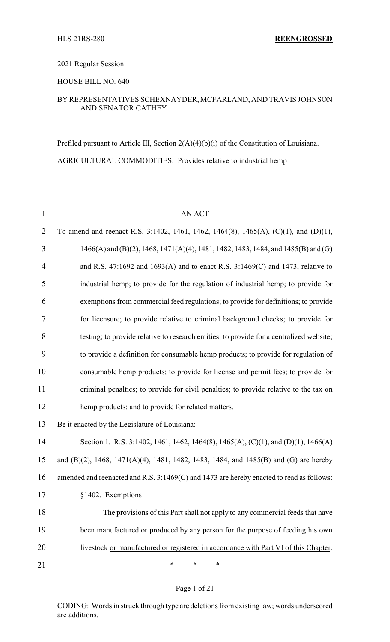HLS 21RS-280 **REENGROSSED**

#### 2021 Regular Session

### HOUSE BILL NO. 640

### BY REPRESENTATIVES SCHEXNAYDER, MCFARLAND, AND TRAVIS JOHNSON AND SENATOR CATHEY

Prefiled pursuant to Article III, Section 2(A)(4)(b)(i) of the Constitution of Louisiana. AGRICULTURAL COMMODITIES: Provides relative to industrial hemp

| $\mathbf{1}$   | <b>AN ACT</b>                                                                            |
|----------------|------------------------------------------------------------------------------------------|
| $\overline{2}$ | To amend and reenact R.S. 3:1402, 1461, 1462, 1464(8), 1465(A), (C)(1), and (D)(1),      |
| 3              | 1466(A) and (B)(2), 1468, 1471(A)(4), 1481, 1482, 1483, 1484, and 1485(B) and (G)        |
| $\overline{4}$ | and R.S. 47:1692 and 1693(A) and to enact R.S. $3:1469(C)$ and 1473, relative to         |
| 5              | industrial hemp; to provide for the regulation of industrial hemp; to provide for        |
| 6              | exemptions from commercial feed regulations; to provide for definitions; to provide      |
| 7              | for licensure; to provide relative to criminal background checks; to provide for         |
| 8              | testing; to provide relative to research entities; to provide for a centralized website; |
| 9              | to provide a definition for consumable hemp products; to provide for regulation of       |
| 10             | consumable hemp products; to provide for license and permit fees; to provide for         |
| 11             | criminal penalties; to provide for civil penalties; to provide relative to the tax on    |
| 12             | hemp products; and to provide for related matters.                                       |
| 13             | Be it enacted by the Legislature of Louisiana:                                           |
| 14             | Section 1. R.S. 3:1402, 1461, 1462, 1464(8), 1465(A), (C)(1), and (D)(1), 1466(A)        |
| 15             | and (B)(2), 1468, 1471(A)(4), 1481, 1482, 1483, 1484, and 1485(B) and (G) are hereby     |
| 16             | amended and reenacted and R.S. 3:1469(C) and 1473 are hereby enacted to read as follows: |
| 17             | §1402. Exemptions                                                                        |
| 18             | The provisions of this Part shall not apply to any commercial feeds that have            |
| 19             | been manufactured or produced by any person for the purpose of feeding his own           |
| 20             | livestock or manufactured or registered in accordance with Part VI of this Chapter.      |
| 21             | ∗<br>*<br>*                                                                              |

#### Page 1 of 21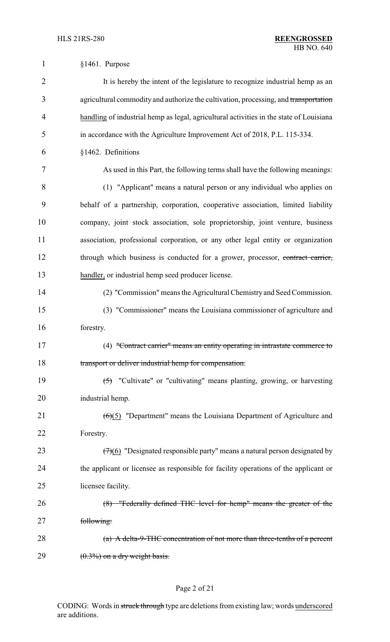| $\mathbf{1}$   | §1461. Purpose                                                                            |
|----------------|-------------------------------------------------------------------------------------------|
| $\overline{2}$ | It is hereby the intent of the legislature to recognize industrial hemp as an             |
| 3              | agricultural commodity and authorize the cultivation, processing, and transportation      |
| $\overline{4}$ | handling of industrial hemp as legal, agricultural activities in the state of Louisiana   |
| 5              | in accordance with the Agriculture Improvement Act of 2018, P.L. 115-334.                 |
| 6              | §1462. Definitions                                                                        |
| 7              | As used in this Part, the following terms shall have the following meanings:              |
| 8              | (1) "Applicant" means a natural person or any individual who applies on                   |
| 9              | behalf of a partnership, corporation, cooperative association, limited liability          |
| 10             | company, joint stock association, sole proprietorship, joint venture, business            |
| 11             | association, professional corporation, or any other legal entity or organization          |
| 12             | through which business is conducted for a grower, processor, contract carrier,            |
| 13             | handler, or industrial hemp seed producer license.                                        |
| 14             | (2) "Commission" means the Agricultural Chemistry and Seed Commission.                    |
| 15             | (3) "Commissioner" means the Louisiana commissioner of agriculture and                    |
| 16             | forestry.                                                                                 |
| 17             | (4) "Contract carrier" means an entity operating in intrastate commerce to                |
| 18             | transport or deliver industrial hemp for compensation.                                    |
| 19             | $(5)$ "Cultivate" or "cultivating" means planting, growing, or harvesting                 |
| 20             | industrial hemp.                                                                          |
| 21             | $\left(\frac{6}{5}\right)$ "Department" means the Louisiana Department of Agriculture and |
| 22             | Forestry.                                                                                 |
| 23             | $(7)(6)$ "Designated responsible party" means a natural person designated by              |
| 24             | the applicant or licensee as responsible for facility operations of the applicant or      |
| 25             | licensee facility.                                                                        |
| 26             | (8) "Federally defined THC level for hemp" means the greater of the                       |
| 27             | following:                                                                                |
| 28             | (a) A delta-9-THC concentration of not more than three-tenths of a percent                |
| 29             | $(0.3\%)$ on a dry weight basis.                                                          |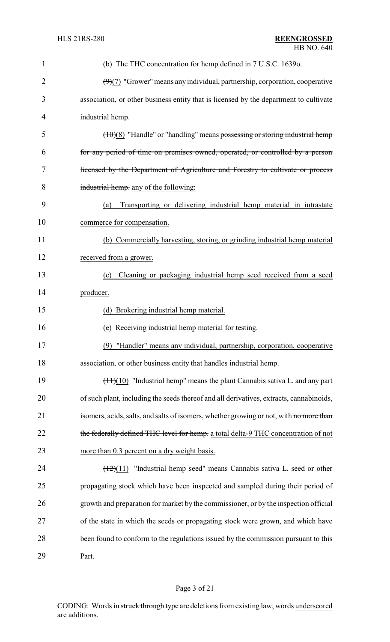| 1              | (b) The THC concentration for hemp defined in 7 U.S.C. 1639o.                           |
|----------------|-----------------------------------------------------------------------------------------|
| $\overline{2}$ | $(9)(7)$ "Grower" means any individual, partnership, corporation, cooperative           |
| 3              | association, or other business entity that is licensed by the department to cultivate   |
| 4              | industrial hemp.                                                                        |
| 5              | $(10)(8)$ "Handle" or "handling" means possessing or storing industrial hemp            |
| 6              | for any period of time on premises owned, operated, or controlled by a person           |
| 7              | licensed by the Department of Agriculture and Forestry to cultivate or process          |
| 8              | industrial hemp. any of the following:                                                  |
| 9              | Transporting or delivering industrial hemp material in intrastate<br>(a)                |
| 10             | commerce for compensation.                                                              |
| 11             | (b) Commercially harvesting, storing, or grinding industrial hemp material              |
| 12             | received from a grower.                                                                 |
| 13             | Cleaning or packaging industrial hemp seed received from a seed<br>(c)                  |
| 14             | producer.                                                                               |
| 15             | (d) Brokering industrial hemp material.                                                 |
| 16             | (e) Receiving industrial hemp material for testing.                                     |
| 17             | (9) "Handler" means any individual, partnership, corporation, cooperative               |
| 18             | association, or other business entity that handles industrial hemp.                     |
| 19             | $(11)(10)$ "Industrial hemp" means the plant Cannabis sativa L. and any part            |
| 20             | of such plant, including the seeds thereof and all derivatives, extracts, cannabinoids, |
| 21             | isomers, acids, salts, and salts of isomers, whether growing or not, with no more than  |
| 22             | the federally defined THC level for hemp. a total delta-9 THC concentration of not      |
| 23             | more than 0.3 percent on a dry weight basis.                                            |
| 24             | $(12)(11)$ "Industrial hemp seed" means Cannabis sativa L. seed or other                |
| 25             | propagating stock which have been inspected and sampled during their period of          |
| 26             | growth and preparation for market by the commissioner, or by the inspection official    |
| 27             | of the state in which the seeds or propagating stock were grown, and which have         |
| 28             | been found to conform to the regulations issued by the commission pursuant to this      |
| 29             | Part.                                                                                   |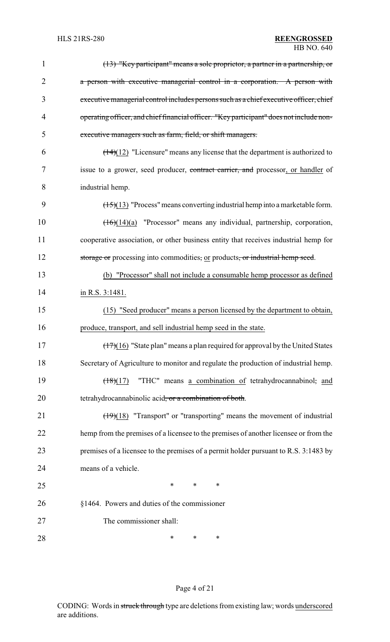| 1              | (13) "Key participant" means a sole proprietor, a partner in a partnership, or                    |
|----------------|---------------------------------------------------------------------------------------------------|
| $\overline{2}$ | a person with executive managerial control in a corporation. A person with                        |
| 3              | executive managerial control includes persons such as a chief executive officer, chief            |
| 4              | operating officer, and chief financial officer. "Key participant" does not include non-           |
| 5              | executive managers such as farm, field, or shift managers.                                        |
| 6              | $\left(\frac{14}{12}\right)$ "Licensure" means any license that the department is authorized to   |
| 7              | issue to a grower, seed producer, contract carrier, and processor, or handler of                  |
| 8              | industrial hemp.                                                                                  |
| 9              | $(15)(13)$ "Process" means converting industrial hemp into a marketable form.                     |
| 10             | $(16)(14)(a)$ "Processor" means any individual, partnership, corporation,                         |
| 11             | cooperative association, or other business entity that receives industrial hemp for               |
| 12             | storage or processing into commodities, or products, or industrial hemp seed.                     |
| 13             | (b) "Processor" shall not include a consumable hemp processor as defined                          |
| 14             | in R.S. 3:1481.                                                                                   |
| 15             | (15) "Seed producer" means a person licensed by the department to obtain,                         |
| 16             | produce, transport, and sell industrial hemp seed in the state.                                   |
| 17             | $\left(\frac{17}{10}\right)$ "State plan" means a plan required for approval by the United States |
| 18             | Secretary of Agriculture to monitor and regulate the production of industrial hemp.               |
| 19             | "THC" means a combination of tetrahydrocannabinol, and<br>$(18)(17)$                              |
| 20             | tetrahydrocannabinolic acid, or a combination of both.                                            |
| 21             | $\left(\frac{19}{18}\right)$ "Transport" or "transporting" means the movement of industrial       |
| 22             | hemp from the premises of a licensee to the premises of another licensee or from the              |
| 23             | premises of a licensee to the premises of a permit holder pursuant to R.S. 3:1483 by              |
| 24             | means of a vehicle.                                                                               |
| 25             | $\ast$<br>∗<br>∗                                                                                  |
| 26             | §1464. Powers and duties of the commissioner                                                      |
| 27             | The commissioner shall:                                                                           |
| 28             | ∗<br>∗<br>∗                                                                                       |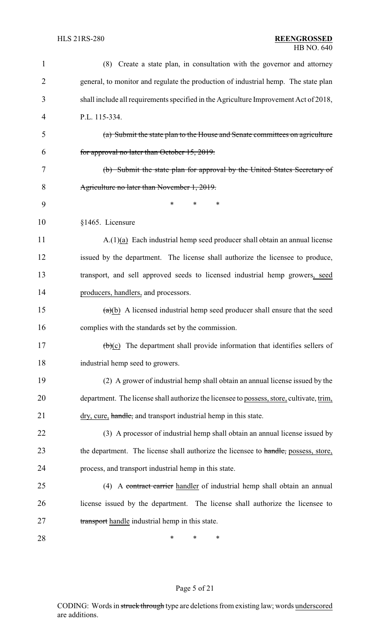| 1              | (8) Create a state plan, in consultation with the governor and attorney                        |
|----------------|------------------------------------------------------------------------------------------------|
| $\overline{2}$ | general, to monitor and regulate the production of industrial hemp. The state plan             |
| 3              | shall include all requirements specified in the Agriculture Improvement Act of 2018,           |
| 4              | P.L. 115-334.                                                                                  |
| 5              | (a) Submit the state plan to the House and Senate committees on agriculture                    |
| 6              | for approval no later than October 15, 2019.                                                   |
| 7              | (b) Submit the state plan for approval by the United States Secretary of                       |
| 8              | Agriculture no later than November 1, 2019.                                                    |
| 9              | *<br>*<br>*                                                                                    |
| 10             | §1465. Licensure                                                                               |
| 11             | $A(1)(a)$ Each industrial hemp seed producer shall obtain an annual license                    |
| 12             | issued by the department. The license shall authorize the licensee to produce,                 |
| 13             | transport, and sell approved seeds to licensed industrial hemp growers, seed                   |
| 14             | producers, handlers, and processors.                                                           |
| 15             | $(a)(b)$ A licensed industrial hemp seed producer shall ensure that the seed                   |
| 16             | complies with the standards set by the commission.                                             |
| 17             | $\left(\frac{b}{c}\right)$ The department shall provide information that identifies sellers of |
| 18             | industrial hemp seed to growers.                                                               |
| 19             | (2) A grower of industrial hemp shall obtain an annual license issued by the                   |
| 20             | department. The license shall authorize the licensee to possess, store, cultivate, trim,       |
| 21             | dry, cure, handle, and transport industrial hemp in this state.                                |
| 22             | (3) A processor of industrial hemp shall obtain an annual license issued by                    |
| 23             | the department. The license shall authorize the licensee to handle, possess, store,            |
| 24             | process, and transport industrial hemp in this state.                                          |
| 25             | (4) A contract carrier handler of industrial hemp shall obtain an annual                       |
| 26             | license issued by the department. The license shall authorize the licensee to                  |
| 27             | transport handle industrial hemp in this state.                                                |
| 28             | ∗<br>∗<br>∗                                                                                    |

# Page 5 of 21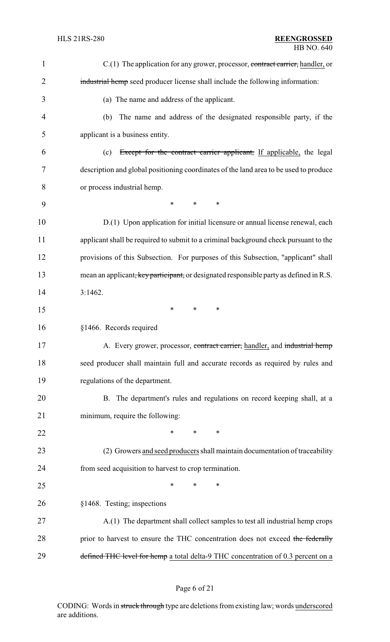| $\mathbf{1}$   | $C(1)$ The application for any grower, processor, contract carrier, handler, or        |
|----------------|----------------------------------------------------------------------------------------|
| $\overline{2}$ | industrial hemp seed producer license shall include the following information:         |
| 3              | (a) The name and address of the applicant.                                             |
| $\overline{4}$ | The name and address of the designated responsible party, if the<br>(b)                |
| 5              | applicant is a business entity.                                                        |
| 6              | Except for the contract carrier applicant, If applicable, the legal<br>(c)             |
| 7              | description and global positioning coordinates of the land area to be used to produce  |
| 8              | or process industrial hemp.                                                            |
| 9              | $\ast$<br>$\ast$<br>*                                                                  |
| 10             | D.(1) Upon application for initial licensure or annual license renewal, each           |
| 11             | applicant shall be required to submit to a criminal background check pursuant to the   |
| 12             | provisions of this Subsection. For purposes of this Subsection, "applicant" shall      |
| 13             | mean an applicant, key participant, or designated responsible party as defined in R.S. |
| 14             | 3:1462.                                                                                |
| 15             | $\ast$<br>$\ast$<br>∗                                                                  |
| 16             | §1466. Records required                                                                |
| 17             | A. Every grower, processor, contract carrier, handler, and industrial hemp             |
| 18             | seed producer shall maintain full and accurate records as required by rules and        |
| 19             | regulations of the department.                                                         |
| 20             | B. The department's rules and regulations on record keeping shall, at a                |
| 21             | minimum, require the following:                                                        |
| 22             | *<br>*<br>∗                                                                            |
| 23             | (2) Growers and seed producers shall maintain documentation of traceability            |
| 24             | from seed acquisition to harvest to crop termination.                                  |
| 25             | $\ast$<br>∗<br>*                                                                       |
| 26             | §1468. Testing; inspections                                                            |
| 27             | A.(1) The department shall collect samples to test all industrial hemp crops           |
| 28             | prior to harvest to ensure the THC concentration does not exceed the federally         |
| 29             | defined THC level for hemp a total delta-9 THC concentration of 0.3 percent on a       |

# Page 6 of 21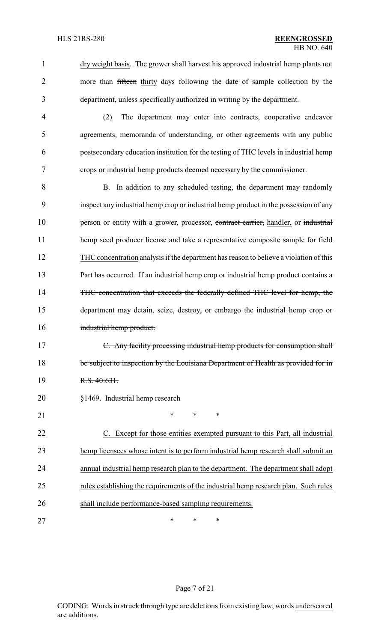1 dry weight basis. The grower shall harvest his approved industrial hemp plants not more than fifteen thirty days following the date of sample collection by the 3 department, unless specifically authorized in writing by the department.

 (2) The department may enter into contracts, cooperative endeavor agreements, memoranda of understanding, or other agreements with any public postsecondary education institution for the testing of THC levels in industrial hemp crops or industrial hemp products deemed necessary by the commissioner.

 B. In addition to any scheduled testing, the department may randomly inspect any industrial hemp crop or industrial hemp product in the possession of any 10 person or entity with a grower, processor, contract carrier, handler, or industrial 11 hemp seed producer license and take a representative composite sample for field THC concentration analysis if the department has reason to believe a violation of this 13 Part has occurred. If an industrial hemp crop or industrial hemp product contains a THC concentration that exceeds the federally defined THC level for hemp, the department may detain, seize, destroy, or embargo the industrial hemp crop or industrial hemp product.

17 C. Any facility processing industrial hemp products for consumption shall 18 be subject to inspection by the Louisiana Department of Health as provided for in 19 R.S. 40:631.

## 20 §1469. Industrial hemp research

21 \* \* \* \*

 C. Except for those entities exempted pursuant to this Part, all industrial hemp licensees whose intent is to perform industrial hemp research shall submit an annual industrial hemp research plan to the department. The department shall adopt rules establishing the requirements of the industrial hemp research plan. Such rules shall include performance-based sampling requirements.

27 \* \* \* \*

### Page 7 of 21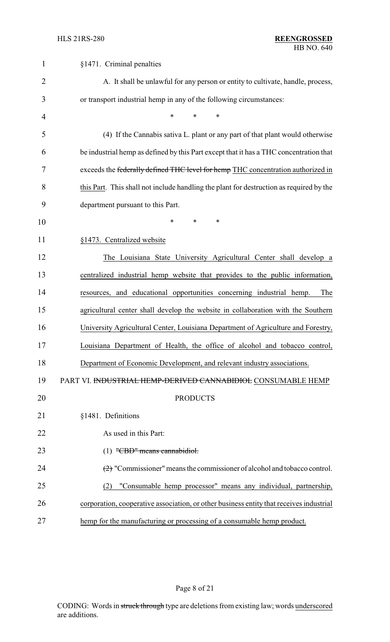| $\mathbf{1}$   | §1471. Criminal penalties                                                                        |
|----------------|--------------------------------------------------------------------------------------------------|
| $\overline{2}$ | A. It shall be unlawful for any person or entity to cultivate, handle, process,                  |
| 3              | or transport industrial hemp in any of the following circumstances:                              |
| 4              | $\ast$<br>$\ast$<br>$\ast$                                                                       |
| 5              | (4) If the Cannabis sativa L. plant or any part of that plant would otherwise                    |
| 6              | be industrial hemp as defined by this Part except that it has a THC concentration that           |
| 7              | exceeds the federally defined THC level for hemp THC concentration authorized in                 |
| 8              | this Part. This shall not include handling the plant for destruction as required by the          |
| 9              | department pursuant to this Part.                                                                |
| 10             | *<br>*<br>∗                                                                                      |
| 11             | §1473. Centralized website                                                                       |
| 12             | The Louisiana State University Agricultural Center shall develop a                               |
| 13             | centralized industrial hemp website that provides to the public information,                     |
| 14             | resources, and educational opportunities concerning industrial hemp.<br>The                      |
| 15             | agricultural center shall develop the website in collaboration with the Southern                 |
| 16             | University Agricultural Center, Louisiana Department of Agriculture and Forestry,                |
| 17             | Louisiana Department of Health, the office of alcohol and tobacco control.                       |
| 18             | Department of Economic Development, and relevant industry associations.                          |
| 19             | PART VI. INDUSTRIAL HEMP-DERIVED CANNABIDIOL CONSUMABLE HEMP                                     |
| 20             | <b>PRODUCTS</b>                                                                                  |
| 21             | §1481. Definitions                                                                               |
| 22             | As used in this Part:                                                                            |
| 23             | $(1)$ "CBD" means cannabidiol.                                                                   |
| 24             | $\left(\frac{2}{2}\right)$ "Commissioner" means the commissioner of alcohol and tobacco control. |
| 25             | "Consumable hemp processor" means any individual, partnership,<br>(2)                            |
| 26             | corporation, cooperative association, or other business entity that receives industrial          |
| 27             | hemp for the manufacturing or processing of a consumable hemp product.                           |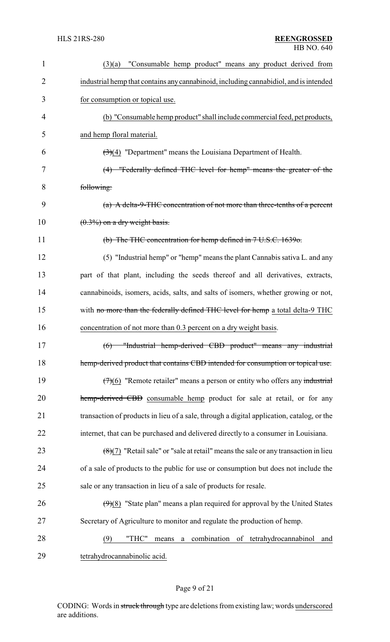| $\mathbf 1$ | "Consumable hemp product" means any product derived from<br>(3)(a)                        |
|-------------|-------------------------------------------------------------------------------------------|
| 2           | industrial hemp that contains any cannabinoid, including cannabidiol, and is intended     |
| 3           | for consumption or topical use.                                                           |
| 4           | (b) "Consumable hemp product" shall include commercial feed, pet products,                |
| 5           | and hemp floral material.                                                                 |
| 6           | $\left(\frac{3}{4}\right)$ "Department" means the Louisiana Department of Health.         |
| 7           | (4) "Federally defined THC level for hemp" means the greater of the                       |
| 8           | following:                                                                                |
| 9           | (a) A delta-9-THC concentration of not more than three-tenths of a percent                |
| 10          | $(0.3\%)$ on a dry weight basis.                                                          |
| 11          | (b) The THC concentration for hemp defined in 7 U.S.C. 1639o.                             |
| 12          | (5) "Industrial hemp" or "hemp" means the plant Cannabis sativa L. and any                |
| 13          | part of that plant, including the seeds thereof and all derivatives, extracts,            |
| 14          | cannabinoids, isomers, acids, salts, and salts of isomers, whether growing or not,        |
| 15          | with no more than the federally defined THC level for hemp a total delta-9 THC            |
| 16          | concentration of not more than 0.3 percent on a dry weight basis.                         |
| 17          | (6) "Industrial hemp-derived CBD product" means any industrial                            |
| 18          | hemp-derived product that contains CBD intended for consumption or topical use.           |
| 19          | $(7)(6)$ "Remote retailer" means a person or entity who offers any industrial             |
| 20          | hemp-derived CBD consumable hemp product for sale at retail, or for any                   |
| 21          | transaction of products in lieu of a sale, through a digital application, catalog, or the |
| 22          | internet, that can be purchased and delivered directly to a consumer in Louisiana.        |
| 23          | $(8)(7)$ "Retail sale" or "sale at retail" means the sale or any transaction in lieu      |
| 24          | of a sale of products to the public for use or consumption but does not include the       |
| 25          | sale or any transaction in lieu of a sale of products for resale.                         |
| 26          | $(9)(8)$ "State plan" means a plan required for approval by the United States             |
| 27          | Secretary of Agriculture to monitor and regulate the production of hemp.                  |
| 28          | a combination of tetrahydrocannabinol<br>"THC"<br>(9)<br>means<br>and                     |
| 29          | tetrahydrocannabinolic acid.                                                              |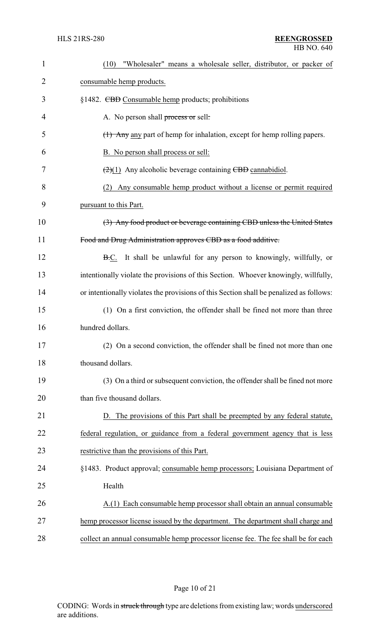| 1              | "Wholesaler" means a wholesale seller, distributor, or packer of<br>(10)                |
|----------------|-----------------------------------------------------------------------------------------|
| $\overline{2}$ | consumable hemp products.                                                               |
| 3              | §1482. CBD Consumable hemp products; prohibitions                                       |
| 4              | A. No person shall process or sell:                                                     |
| 5              | (1) Any any part of hemp for inhalation, except for hemp rolling papers.                |
| 6              | B. No person shall process or sell:                                                     |
| 7              | $(2)(1)$ Any alcoholic beverage containing CBD cannabidiol.                             |
| 8              | (2) Any consumable hemp product without a license or permit required                    |
| 9              | pursuant to this Part.                                                                  |
| 10             | (3) Any food product or beverage containing CBD unless the United States                |
| 11             | Food and Drug Administration approves CBD as a food additive.                           |
| 12             | B.C. It shall be unlawful for any person to knowingly, willfully, or                    |
| 13             | intentionally violate the provisions of this Section. Whoever knowingly, willfully,     |
| 14             | or intentionally violates the provisions of this Section shall be penalized as follows: |
| 15             | (1) On a first conviction, the offender shall be fined not more than three              |
| 16             | hundred dollars.                                                                        |
| 17             | (2) On a second conviction, the offender shall be fined not more than one               |
| 18             | thousand dollars.                                                                       |
| 19             | (3) On a third or subsequent conviction, the offender shall be fined not more           |
| 20             | than five thousand dollars.                                                             |
| 21             | D. The provisions of this Part shall be preempted by any federal statute,               |
| 22             | federal regulation, or guidance from a federal government agency that is less           |
| 23             | restrictive than the provisions of this Part.                                           |
| 24             | §1483. Product approval; consumable hemp processors; Louisiana Department of            |
| 25             | Health                                                                                  |
| 26             | A.(1) Each consumable hemp processor shall obtain an annual consumable                  |
| 27             | hemp processor license issued by the department. The department shall charge and        |
| 28             | collect an annual consumable hemp processor license fee. The fee shall be for each      |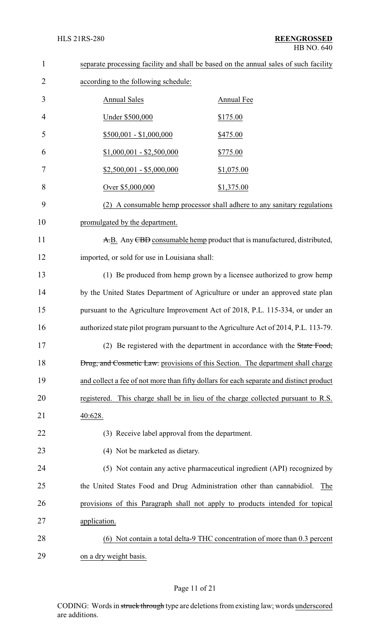| $\mathbf{1}$   | separate processing facility and shall be based on the annual sales of such facility |                                                                                         |
|----------------|--------------------------------------------------------------------------------------|-----------------------------------------------------------------------------------------|
| $\overline{2}$ | according to the following schedule:                                                 |                                                                                         |
| 3              | <b>Annual Sales</b>                                                                  | Annual Fee                                                                              |
| 4              | Under \$500,000                                                                      | \$175.00                                                                                |
| 5              | $$500,001 - $1,000,000$                                                              | \$475.00                                                                                |
| 6              | $$1,000,001 - $2,500,000$                                                            | \$775.00                                                                                |
| 7              | $$2,500,001 - $5,000,000$                                                            | \$1,075.00                                                                              |
| 8              | Over \$5,000,000                                                                     | \$1,375.00                                                                              |
| 9              |                                                                                      | (2) A consumable hemp processor shall adhere to any sanitary regulations                |
| 10             | promulgated by the department.                                                       |                                                                                         |
| 11             | A.B. Any CBD consumable hemp product that is manufactured, distributed,              |                                                                                         |
| 12             | imported, or sold for use in Louisiana shall:                                        |                                                                                         |
| 13             |                                                                                      | (1) Be produced from hemp grown by a licensee authorized to grow hemp                   |
| 14             |                                                                                      | by the United States Department of Agriculture or under an approved state plan          |
| 15             |                                                                                      | pursuant to the Agriculture Improvement Act of 2018, P.L. 115-334, or under an          |
| 16             |                                                                                      | authorized state pilot program pursuant to the Agriculture Act of 2014, P.L. 113-79.    |
| 17             |                                                                                      | (2) Be registered with the department in accordance with the State Food,                |
| 18             |                                                                                      | Drug, and Cosmetic Law. provisions of this Section. The department shall charge         |
| 19             |                                                                                      | and collect a fee of not more than fifty dollars for each separate and distinct product |
| 20             |                                                                                      | registered. This charge shall be in lieu of the charge collected pursuant to R.S.       |
| 21             | 40:628.                                                                              |                                                                                         |
| 22             | (3) Receive label approval from the department.                                      |                                                                                         |
| 23             | (4) Not be marketed as dietary.                                                      |                                                                                         |
| 24             |                                                                                      | (5) Not contain any active pharmaceutical ingredient (API) recognized by                |
| 25             | the United States Food and Drug Administration other than cannabidiol.               | The                                                                                     |
| 26             |                                                                                      | provisions of this Paragraph shall not apply to products intended for topical           |
| 27             | application.                                                                         |                                                                                         |
| 28             |                                                                                      | (6) Not contain a total delta-9 THC concentration of more than 0.3 percent              |
| 29             | on a dry weight basis.                                                               |                                                                                         |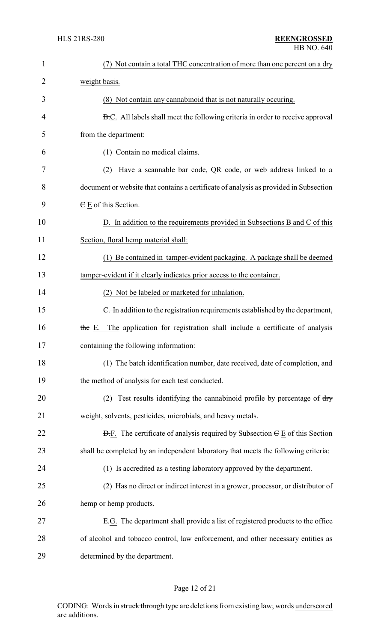| $\mathbf{1}$   | (7) Not contain a total THC concentration of more than one percent on a dry                          |
|----------------|------------------------------------------------------------------------------------------------------|
| $\overline{2}$ | weight basis.                                                                                        |
| 3              | (8) Not contain any cannabinoid that is not naturally occuring.                                      |
| 4              | B.C. All labels shall meet the following criteria in order to receive approval                       |
| 5              | from the department:                                                                                 |
| 6              | (1) Contain no medical claims.                                                                       |
| 7              | Have a scannable bar code, QR code, or web address linked to a<br>(2)                                |
| 8              | document or website that contains a certificate of analysis as provided in Subsection                |
| 9              | $E$ E of this Section.                                                                               |
| 10             | D. In addition to the requirements provided in Subsections B and C of this                           |
| 11             | Section, floral hemp material shall:                                                                 |
| 12             | (1) Be contained in tamper-evident packaging. A package shall be deemed                              |
| 13             | tamper-evident if it clearly indicates prior access to the container.                                |
| 14             | (2) Not be labeled or marketed for inhalation.                                                       |
| 15             | C. In addition to the registration requirements established by the department,                       |
| 16             | the E. The application for registration shall include a certificate of analysis                      |
| 17             | containing the following information:                                                                |
| 18             | (1) The batch identification number, date received, date of completion, and                          |
| 19             | the method of analysis for each test conducted.                                                      |
| 20             | Test results identifying the cannabinoid profile by percentage of dry<br>(2)                         |
| 21             | weight, solvents, pesticides, microbials, and heavy metals.                                          |
| 22             | $\overline{D}$ . The certificate of analysis required by Subsection $\overline{C}$ E of this Section |
| 23             | shall be completed by an independent laboratory that meets the following criteria:                   |
| 24             | (1) Is accredited as a testing laboratory approved by the department.                                |
| 25             | (2) Has no direct or indirect interest in a grower, processor, or distributor of                     |
| 26             | hemp or hemp products.                                                                               |
| 27             | E.G. The department shall provide a list of registered products to the office                        |
| 28             | of alcohol and tobacco control, law enforcement, and other necessary entities as                     |
| 29             | determined by the department.                                                                        |

# Page 12 of 21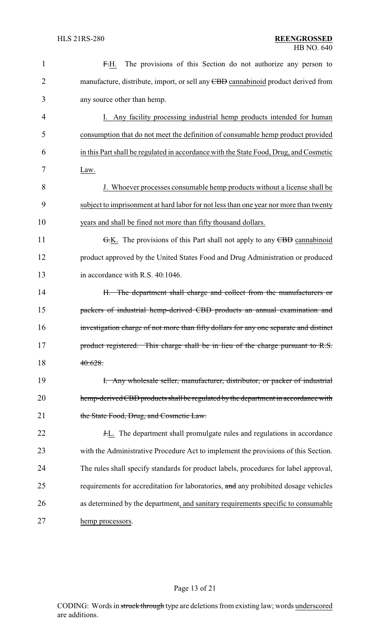| $\mathbf{1}$   | The provisions of this Section do not authorize any person to<br>F.H.                 |
|----------------|---------------------------------------------------------------------------------------|
| $\overline{2}$ | manufacture, distribute, import, or sell any CBD cannabinoid product derived from     |
| 3              | any source other than hemp.                                                           |
| 4              | I. Any facility processing industrial hemp products intended for human                |
| 5              | consumption that do not meet the definition of consumable hemp product provided       |
| 6              | in this Part shall be regulated in accordance with the State Food, Drug, and Cosmetic |
| 7              | Law.                                                                                  |
| 8              | J. Whoever processes consumable hemp products without a license shall be              |
| 9              | subject to imprisonment at hard labor for not less than one year nor more than twenty |
| 10             | years and shall be fined not more than fifty thousand dollars.                        |
| 11             | G.K. The provisions of this Part shall not apply to any CBD cannabinoid               |
| 12             | product approved by the United States Food and Drug Administration or produced        |
| 13             | in accordance with R.S. 40:1046.                                                      |
| 14             | H. The department shall charge and collect from the manufacturers or                  |
| 15             | packers of industrial hemp-derived CBD products an annual examination and             |
| 16             | investigation charge of not more than fifty dollars for any one separate and distinct |
| 17             | product registered. This charge shall be in lieu of the charge pursuant to R.S.       |
| 18             | 40:628.                                                                               |
| 19             | I. Any wholesale seller, manufacturer, distributor, or packer of industrial           |
| 20             | hemp-derived CBD products shall be regulated by the department in accordance with     |
| 21             | the State Food, Drug, and Cosmetic Law.                                               |
| 22             | <b>H.L.</b> The department shall promulgate rules and regulations in accordance       |
| 23             | with the Administrative Procedure Act to implement the provisions of this Section.    |
| 24             | The rules shall specify standards for product labels, procedures for label approval,  |
| 25             | requirements for accreditation for laboratories, and any prohibited dosage vehicles   |
| 26             | as determined by the department, and sanitary requirements specific to consumable     |
| 27             | hemp processors.                                                                      |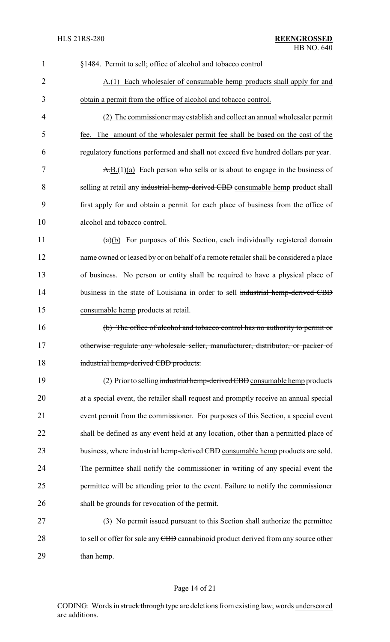| $\mathbf{1}$   | §1484. Permit to sell; office of alcohol and tobacco control                                              |
|----------------|-----------------------------------------------------------------------------------------------------------|
| $\overline{2}$ | A.(1) Each wholesaler of consumable hemp products shall apply for and                                     |
| 3              | obtain a permit from the office of alcohol and tobacco control.                                           |
| $\overline{4}$ | (2) The commissioner may establish and collect an annual wholesaler permit                                |
| 5              | fee. The amount of the wholesaler permit fee shall be based on the cost of the                            |
| 6              | regulatory functions performed and shall not exceed five hundred dollars per year.                        |
| 7              | $\overline{A}$ , $\overline{B}$ , $(1)(a)$ Each person who sells or is about to engage in the business of |
| 8              | selling at retail any industrial hemp-derived CBD consumable hemp product shall                           |
| 9              | first apply for and obtain a permit for each place of business from the office of                         |
| 10             | alcohol and tobacco control.                                                                              |
| 11             | $(a)(b)$ For purposes of this Section, each individually registered domain                                |
| 12             | name owned or leased by or on behalf of a remote retailer shall be considered a place                     |
| 13             | of business. No person or entity shall be required to have a physical place of                            |
| 14             | business in the state of Louisiana in order to sell industrial hemp-derived CBD                           |
| 15             | consumable hemp products at retail.                                                                       |
| 16             | (b) The office of alcohol and tobacco control has no authority to permit or                               |
| 17             | otherwise regulate any wholesale seller, manufacturer, distributor, or packer of                          |
| 18             | industrial hemp-derived CBD products.                                                                     |
| 19             | (2) Prior to selling industrial hemp-derived CBD consumable hemp products                                 |
| 20             | at a special event, the retailer shall request and promptly receive an annual special                     |
| 21             | event permit from the commissioner. For purposes of this Section, a special event                         |
| 22             | shall be defined as any event held at any location, other than a permitted place of                       |
| 23             | business, where industrial hemp-derived CBD consumable hemp products are sold.                            |
| 24             | The permittee shall notify the commissioner in writing of any special event the                           |
| 25             | permittee will be attending prior to the event. Failure to notify the commissioner                        |
| 26             | shall be grounds for revocation of the permit.                                                            |
| 27             | (3) No permit issued pursuant to this Section shall authorize the permittee                               |
| 28             | to sell or offer for sale any CBD cannabinoid product derived from any source other                       |
| 29             | than hemp.                                                                                                |

# Page 14 of 21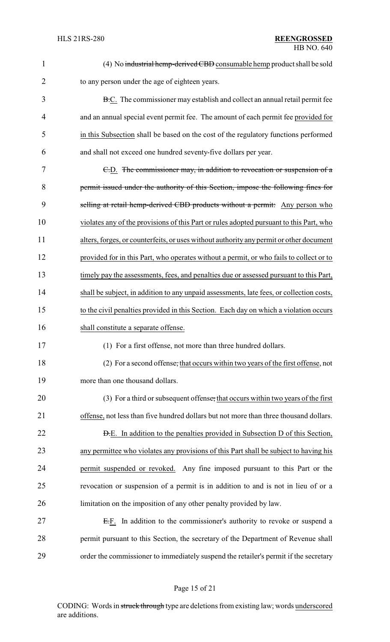| $\mathbf{1}$   | (4) No industrial hemp-derived CBD consumable hemp product shall be sold                 |
|----------------|------------------------------------------------------------------------------------------|
| $\overline{c}$ | to any person under the age of eighteen years.                                           |
| 3              | <b>B.C.</b> The commissioner may establish and collect an annual retail permit fee       |
| 4              | and an annual special event permit fee. The amount of each permit fee provided for       |
| 5              | in this Subsection shall be based on the cost of the regulatory functions performed      |
| 6              | and shall not exceed one hundred seventy-five dollars per year.                          |
| 7              | E.D. The commissioner may, in addition to revocation or suspension of a                  |
| 8              | permit issued under the authority of this Section, impose the following fines for        |
| 9              | selling at retail hemp-derived CBD products without a permit: Any person who             |
| 10             | violates any of the provisions of this Part or rules adopted pursuant to this Part, who  |
| 11             | alters, forges, or counterfeits, or uses without authority any permit or other document  |
| 12             | provided for in this Part, who operates without a permit, or who fails to collect or to  |
| 13             | timely pay the assessments, fees, and penalties due or assessed pursuant to this Part,   |
| 14             | shall be subject, in addition to any unpaid assessments, late fees, or collection costs, |
| 15             | to the civil penalties provided in this Section. Each day on which a violation occurs    |
| 16             | shall constitute a separate offense.                                                     |
| 17             | (1) For a first offense, not more than three hundred dollars.                            |
| 18             | (2) For a second offense, that occurs within two years of the first offense, not         |
| 19             | more than one thousand dollars.                                                          |
| 20             | (3) For a third or subsequent offense, that occurs within two years of the first         |
| 21             | offense, not less than five hundred dollars but not more than three thousand dollars.    |
| 22             | <b>D.E.</b> In addition to the penalties provided in Subsection D of this Section,       |
| 23             | any permittee who violates any provisions of this Part shall be subject to having his    |
| 24             | permit suspended or revoked. Any fine imposed pursuant to this Part or the               |
| 25             | revocation or suspension of a permit is in addition to and is not in lieu of or a        |
| 26             | limitation on the imposition of any other penalty provided by law.                       |
| 27             | E.F. In addition to the commissioner's authority to revoke or suspend a                  |
| 28             | permit pursuant to this Section, the secretary of the Department of Revenue shall        |
| 29             | order the commissioner to immediately suspend the retailer's permit if the secretary     |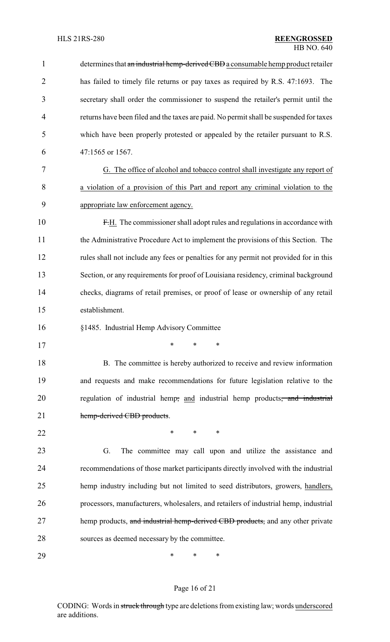| $\mathbf{1}$   | determines that an industrial hemp-derived CBD a consumable hemp product retailer      |
|----------------|----------------------------------------------------------------------------------------|
| $\overline{2}$ | has failed to timely file returns or pay taxes as required by R.S. 47:1693. The        |
| 3              | secretary shall order the commissioner to suspend the retailer's permit until the      |
| $\overline{4}$ | returns have been filed and the taxes are paid. No permit shall be suspended for taxes |
| 5              | which have been properly protested or appealed by the retailer pursuant to R.S.        |
| 6              | 47:1565 or 1567.                                                                       |
| 7              | G. The office of alcohol and tobacco control shall investigate any report of           |
| 8              | a violation of a provision of this Part and report any criminal violation to the       |
| 9              | appropriate law enforcement agency.                                                    |
| 10             | F.H. The commissioner shall adopt rules and regulations in accordance with             |
| 11             | the Administrative Procedure Act to implement the provisions of this Section. The      |
| 12             | rules shall not include any fees or penalties for any permit not provided for in this  |
| 13             | Section, or any requirements for proof of Louisiana residency, criminal background     |
| 14             | checks, diagrams of retail premises, or proof of lease or ownership of any retail      |
| 15             | establishment.                                                                         |
| 16             | §1485. Industrial Hemp Advisory Committee                                              |
| 17             |                                                                                        |
| 18             | B. The committee is hereby authorized to receive and review information                |
| 19             | and requests and make recommendations for future legislation relative to the           |
| 20             | regulation of industrial hemp, and industrial hemp products, and industrial            |
| 21             | hemp-derived CBD products.                                                             |
| 22             | $\ast$<br>$\ast$<br>$\ast$                                                             |
| 23             | G.<br>The committee may call upon and utilize the assistance and                       |
| 24             | recommendations of those market participants directly involved with the industrial     |
| 25             | hemp industry including but not limited to seed distributors, growers, handlers,       |
| 26             | processors, manufacturers, wholesalers, and retailers of industrial hemp, industrial   |
| 27             | hemp products, and industrial hemp-derived CBD products, and any other private         |
| 28             | sources as deemed necessary by the committee.                                          |
| 29             | ∗<br>∗<br>∗                                                                            |

# Page 16 of 21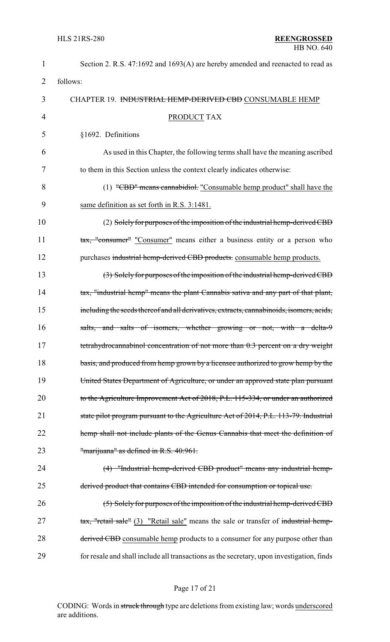| $\mathbf{1}$ | Section 2. R.S. 47:1692 and 1693(A) are hereby amended and reenacted to read as           |
|--------------|-------------------------------------------------------------------------------------------|
| 2            | follows:                                                                                  |
| 3            | CHAPTER 19. INDUSTRIAL HEMP-DERIVED CBD CONSUMABLE HEMP                                   |
| 4            | <b>PRODUCT TAX</b>                                                                        |
| 5            | §1692. Definitions                                                                        |
| 6            | As used in this Chapter, the following terms shall have the meaning ascribed              |
| 7            | to them in this Section unless the context clearly indicates otherwise:                   |
| 8            | (1) "CBD" means cannabidiot. "Consumable hemp product" shall have the                     |
| 9            | same definition as set forth in R.S. 3:1481.                                              |
| 10           | (2) Solely for purposes of the imposition of the industrial hemp-derived CBD              |
| 11           | tax, "consumer" "Consumer" means either a business entity or a person who                 |
| 12           | purchases industrial hemp-derived CBD products. consumable hemp products.                 |
| 13           | (3) Solely for purposes of the imposition of the industrial hemp-derived CBD              |
| 14           | tax, "industrial hemp" means the plant Cannabis sativa and any part of that plant,        |
| 15           | including the seeds thereof and all derivatives, extracts, cannabinoids, isomers, acids,  |
| 16           | salts, and salts of isomers, whether growing or not, with a delta-9                       |
| 17           | tetrahydrocannabinol concentration of not more than 0.3 percent on a dry weight           |
| 18           | basis, and produced from hemp grown by a licensee authorized to grow hemp by the          |
| 19           | United States Department of Agriculture, or under an approved state plan pursuant         |
| 20           | to the Agriculture Improvement Act of 2018, P.L. 115-334, or under an authorized          |
| 21           | state pilot program pursuant to the Agriculture Act of 2014, P.L. 113-79. Industrial      |
| 22           | hemp shall not include plants of the Genus Cannabis that meet the definition of           |
| 23           | "marijuana" as defined in R.S. 40:961.                                                    |
| 24           | (4) "Industrial hemp-derived CBD product" means any industrial hemp-                      |
| 25           | derived product that contains CBD intended for consumption or topical use.                |
| 26           | (5) Solely for purposes of the imposition of the industrial hemp-derived CBD              |
| 27           | tax, "retail sale" (3) "Retail sale" means the sale or transfer of industrial hemp-       |
| 28           | derived CBD consumable hemp products to a consumer for any purpose other than             |
| 29           | for resale and shall include all transactions as the secretary, upon investigation, finds |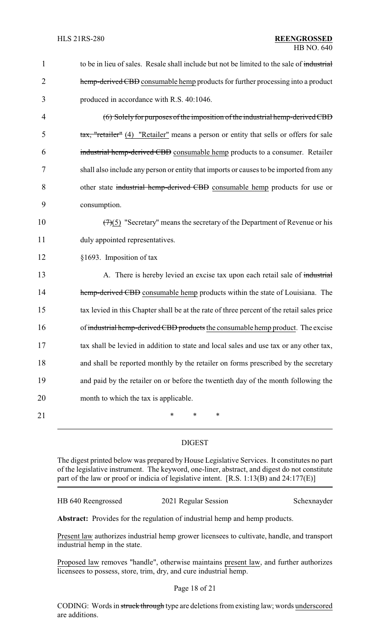| $\mathbf{1}$   | to be in lieu of sales. Resale shall include but not be limited to the sale of industrial  |
|----------------|--------------------------------------------------------------------------------------------|
| $\overline{2}$ | hemp-derived CBD consumable hemp products for further processing into a product            |
| 3              | produced in accordance with R.S. 40:1046.                                                  |
| $\overline{4}$ | (6) Solely for purposes of the imposition of the industrial hemp-derived CBD               |
| 5              | tax, "retailer" (4) "Retailer" means a person or entity that sells or offers for sale      |
| 6              | industrial hemp-derived CBD consumable hemp products to a consumer. Retailer               |
| 7              | shall also include any person or entity that imports or causes to be imported from any     |
| 8              | other state industrial hemp-derived CBD consumable hemp products for use or                |
| 9              | consumption.                                                                               |
| 10             | $(7)(5)$ "Secretary" means the secretary of the Department of Revenue or his               |
| 11             | duly appointed representatives.                                                            |
| 12             | §1693. Imposition of tax                                                                   |
| 13             | A. There is hereby levied an excise tax upon each retail sale of industrial                |
| 14             | hemp-derived CBD consumable hemp products within the state of Louisiana. The               |
| 15             | tax levied in this Chapter shall be at the rate of three percent of the retail sales price |
| 16             | of industrial hemp-derived CBD products the consumable hemp product. The excise            |
| 17             | tax shall be levied in addition to state and local sales and use tax or any other tax,     |
| 18             | and shall be reported monthly by the retailer on forms prescribed by the secretary         |
| 19             | and paid by the retailer on or before the twentieth day of the month following the         |
| 20             | month to which the tax is applicable.                                                      |
| 21             | *<br>∗<br>∗                                                                                |

### DIGEST

The digest printed below was prepared by House Legislative Services. It constitutes no part of the legislative instrument. The keyword, one-liner, abstract, and digest do not constitute part of the law or proof or indicia of legislative intent. [R.S. 1:13(B) and 24:177(E)]

HB 640 Reengrossed 2021 Regular Session Schexnayder

**Abstract:** Provides for the regulation of industrial hemp and hemp products.

Present law authorizes industrial hemp grower licensees to cultivate, handle, and transport industrial hemp in the state.

Proposed law removes "handle", otherwise maintains present law, and further authorizes licensees to possess, store, trim, dry, and cure industrial hemp.

#### Page 18 of 21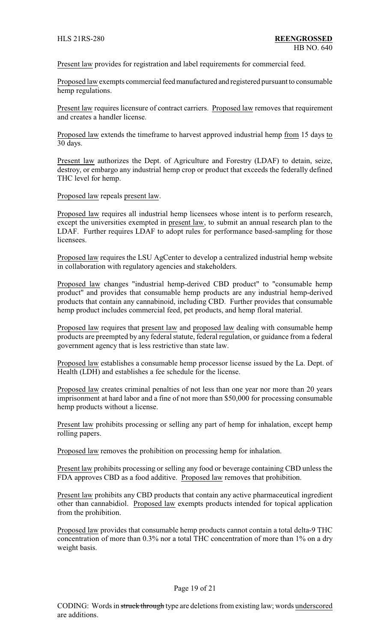Present law provides for registration and label requirements for commercial feed.

Proposed law exempts commercial feed manufactured and registered pursuant to consumable hemp regulations.

Present law requires licensure of contract carriers. Proposed law removes that requirement and creates a handler license.

Proposed law extends the timeframe to harvest approved industrial hemp from 15 days to 30 days.

Present law authorizes the Dept. of Agriculture and Forestry (LDAF) to detain, seize, destroy, or embargo any industrial hemp crop or product that exceeds the federally defined THC level for hemp.

Proposed law repeals present law.

Proposed law requires all industrial hemp licensees whose intent is to perform research, except the universities exempted in present law, to submit an annual research plan to the LDAF. Further requires LDAF to adopt rules for performance based-sampling for those licensees.

Proposed law requires the LSU AgCenter to develop a centralized industrial hemp website in collaboration with regulatory agencies and stakeholders.

Proposed law changes "industrial hemp-derived CBD product" to "consumable hemp product" and provides that consumable hemp products are any industrial hemp-derived products that contain any cannabinoid, including CBD. Further provides that consumable hemp product includes commercial feed, pet products, and hemp floral material.

Proposed law requires that present law and proposed law dealing with consumable hemp products are preempted by any federal statute, federal regulation, or guidance from a federal government agency that is less restrictive than state law.

Proposed law establishes a consumable hemp processor license issued by the La. Dept. of Health (LDH) and establishes a fee schedule for the license.

Proposed law creates criminal penalties of not less than one year nor more than 20 years imprisonment at hard labor and a fine of not more than \$50,000 for processing consumable hemp products without a license.

Present law prohibits processing or selling any part of hemp for inhalation, except hemp rolling papers.

Proposed law removes the prohibition on processing hemp for inhalation.

Present law prohibits processing or selling any food or beverage containing CBD unless the FDA approves CBD as a food additive. Proposed law removes that prohibition.

Present law prohibits any CBD products that contain any active pharmaceutical ingredient other than cannabidiol. Proposed law exempts products intended for topical application from the prohibition.

Proposed law provides that consumable hemp products cannot contain a total delta-9 THC concentration of more than 0.3% nor a total THC concentration of more than 1% on a dry weight basis.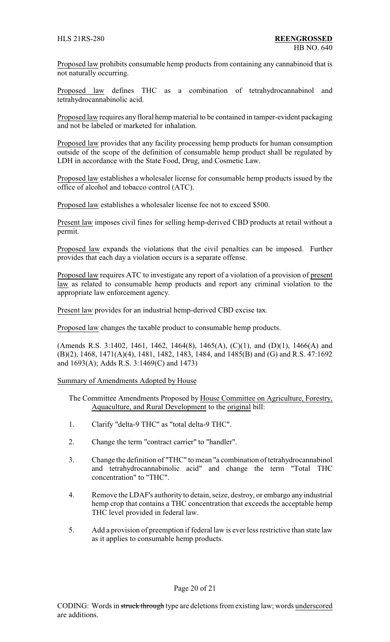Proposed law prohibits consumable hemp products from containing any cannabinoid that is not naturally occurring.

Proposed law defines THC as a combination of tetrahydrocannabinol and tetrahydrocannabinolic acid.

Proposed law requires any floral hemp material to be contained in tamper-evident packaging and not be labeled or marketed for inhalation.

Proposed law provides that any facility processing hemp products for human consumption outside of the scope of the definition of consumable hemp product shall be regulated by LDH in accordance with the State Food, Drug, and Cosmetic Law.

Proposed law establishes a wholesaler license for consumable hemp products issued by the office of alcohol and tobacco control (ATC).

Proposed law establishes a wholesaler license fee not to exceed \$500.

Present law imposes civil fines for selling hemp-derived CBD products at retail without a permit.

Proposed law expands the violations that the civil penalties can be imposed. Further provides that each day a violation occurs is a separate offense.

Proposed law requires ATC to investigate any report of a violation of a provision of present law as related to consumable hemp products and report any criminal violation to the appropriate law enforcement agency.

Present law provides for an industrial hemp-derived CBD excise tax.

Proposed law changes the taxable product to consumable hemp products.

(Amends R.S. 3:1402, 1461, 1462, 1464(8), 1465(A), (C)(1), and (D)(1), 1466(A) and (B)(2), 1468, 1471(A)(4), 1481, 1482, 1483, 1484, and 1485(B) and (G) and R.S. 47:1692 and 1693(A); Adds R.S. 3:1469(C) and 1473)

Summary of Amendments Adopted by House

The Committee Amendments Proposed by House Committee on Agriculture, Forestry, Aquaculture, and Rural Development to the original bill:

- 1. Clarify "delta-9 THC" as "total delta-9 THC".
- 2. Change the term "contract carrier" to "handler".
- 3. Change the definition of "THC" to mean "a combination of tetrahydrocannabinol and tetrahydrocannabinolic acid" and change the term "Total THC concentration" to "THC".
- 4. Remove the LDAF's authority to detain, seize, destroy, or embargo any industrial hemp crop that contains a THC concentration that exceeds the acceptable hemp THC level provided in federal law.
- 5. Add a provision of preemption if federal law is ever less restrictive than state law as it applies to consumable hemp products.